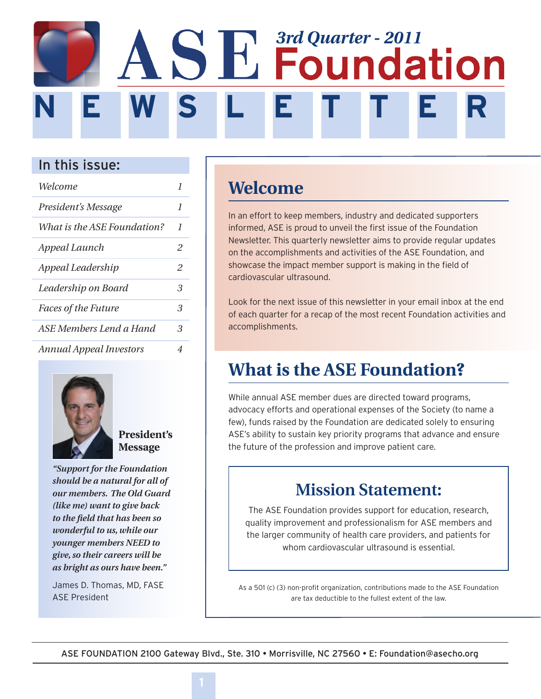# **N E W S L E T T E R SE** Foundation

### In this issue:

| Welcome                        | 1 |
|--------------------------------|---|
| President's Message            | 1 |
| What is the ASE Foundation?    | 1 |
| Appeal Launch                  | 2 |
| Appeal Leadership              | 2 |
| Leadership on Board            | З |
| <b>Faces of the Future</b>     | 3 |
| ASE Members Lend a Hand        | 3 |
| <b>Annual Appeal Investors</b> | 4 |



**President's Message**

*"Support for the Foundation should be a natural for all of our members. The Old Guard (like me) want to give back to the field that has been so wonderful to us, while our younger members NEED to give, so their careers will be as bright as ours have been."*

James D. Thomas, MD, FASE ASE President

## **Welcome**

Ī

İ

In an effort to keep members, industry and dedicated supporters informed, ASE is proud to unveil the first issue of the Foundation Newsletter. This quarterly newsletter aims to provide regular updates on the accomplishments and activities of the ASE Foundation, and showcase the impact member support is making in the field of cardiovascular ultrasound.

Look for the next issue of this newsletter in your email inbox at the end of each quarter for a recap of the most recent Foundation activities and accomplishments.

## **What is the ASE Foundation?**

While annual ASE member dues are directed toward programs, advocacy efforts and operational expenses of the Society (to name a few), funds raised by the Foundation are dedicated solely to ensuring ASE's ability to sustain key priority programs that advance and ensure the future of the profession and improve patient care.

### **Mission Statement:**

The ASE Foundation provides support for education, research, quality improvement and professionalism for ASE members and the larger community of health care providers, and patients for whom cardiovascular ultrasound is essential.

As a 501 (c) (3) non-profit organization, contributions made to the ASE Foundation are tax deductible to the fullest extent of the law.

ASE FOUNDATION 2100 Gateway Blvd., Ste. 310 • Morrisville, NC 27560 • E: Foundation@asecho.org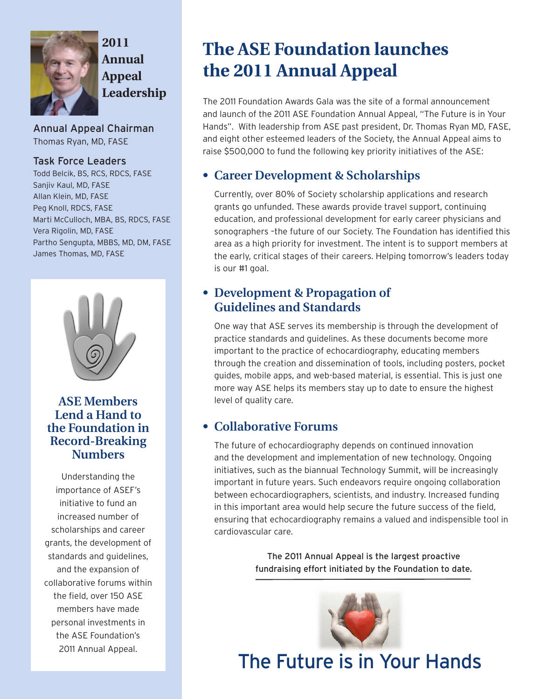

**2011 Annual Appeal Leadership**

Annual Appeal Chairman Thomas Ryan, MD, FASE

### Task Force Leaders

Todd Belcik, BS, RCS, RDCS, FASE Sanjiv Kaul, MD, FASE Allan Klein, MD, FASE Peg Knoll, RDCS, FASE Marti McCulloch, MBA, BS, RDCS, FASE Vera Rigolin, MD, FASE Partho Sengupta, MBBS, MD, DM, FASE James Thomas, MD, FASE



### **ASE Members Lend a Hand to the Foundation in Record-Breaking Numbers**

Understanding the importance of ASEF's initiative to fund an increased number of scholarships and career grants, the development of standards and guidelines, and the expansion of collaborative forums within the field, over 150 ASE members have made personal investments in the ASE Foundation's 2011 Annual Appeal.

## **The ASE Foundation launches the 2011 Annual Appeal**

The 2011 Foundation Awards Gala was the site of a formal announcement and launch of the 2011 ASE Foundation Annual Appeal, "The Future is in Your Hands". With leadership from ASE past president, Dr. Thomas Ryan MD, FASE, and eight other esteemed leaders of the Society, the Annual Appeal aims to raise \$500,000 to fund the following key priority initiatives of the ASE:

### **• Career Development & Scholarships**

Currently, over 80% of Society scholarship applications and research grants go unfunded. These awards provide travel support, continuing education, and professional development for early career physicians and sonographers –the future of our Society. The Foundation has identified this area as a high priority for investment. The intent is to support members at the early, critical stages of their careers. Helping tomorrow's leaders today is our #1 goal.

### **• Development & Propagation of Guidelines and Standards**

One way that ASE serves its membership is through the development of practice standards and guidelines. As these documents become more important to the practice of echocardiography, educating members through the creation and dissemination of tools, including posters, pocket guides, mobile apps, and web-based material, is essential. This is just one more way ASE helps its members stay up to date to ensure the highest level of quality care.

### **• Collaborative Forums**

The future of echocardiography depends on continued innovation and the development and implementation of new technology. Ongoing initiatives, such as the biannual Technology Summit, will be increasingly important in future years. Such endeavors require ongoing collaboration between echocardiographers, scientists, and industry. Increased funding in this important area would help secure the future success of the field, ensuring that echocardiography remains a valued and indispensible tool in cardiovascular care.

> The 2011 Annual Appeal is the largest proactive fundraising effort initiated by the Foundation to date.



The Future is in Your Hands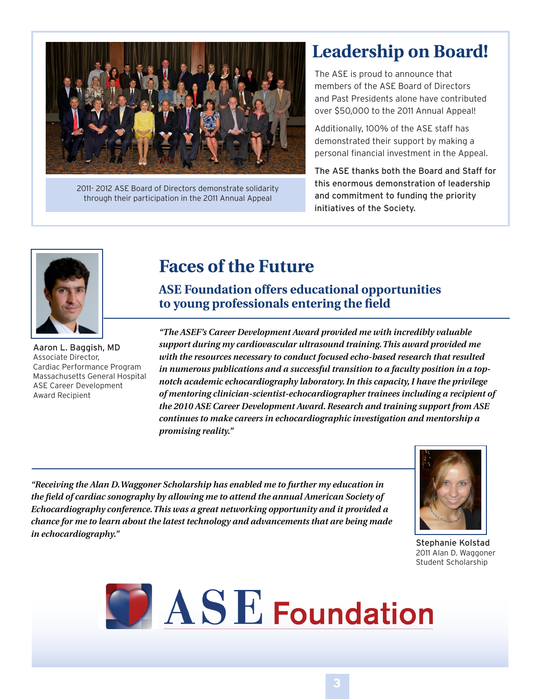

2011- 2012 ASE Board of Directors demonstrate solidarity through their participation in the 2011 Annual Appeal

## **Leadership on Board!**

The ASE is proud to announce that members of the ASE Board of Directors and Past Presidents alone have contributed over \$50,000 to the 2011 Annual Appeal!

Additionally, 100% of the ASE staff has demonstrated their support by making a personal financial investment in the Appeal.

The ASE thanks both the Board and Staff for this enormous demonstration of leadership and commitment to funding the priority initiatives of the Society.



Aaron L. Baggish, MD Associate Director, Cardiac Performance Program Massachusetts General Hospital ASE Career Development Award Recipient

### **Faces of the Future**

**ASE Foundation offers educational opportunities to young professionals entering the field**

*"The ASEF's Career Development Award provided me with incredibly valuable support during my cardiovascular ultrasound training. This award provided me with the resources necessary to conduct focused echo-based research that resulted in numerous publications and a successful transition to a faculty position in a topnotch academic echocardiography laboratory. In this capacity, I have the privilege of mentoring clinician-scientist-echocardiographer trainees including a recipient of the 2010 ASE Career Development Award. Research and training support from ASE continues to make careers in echocardiographic investigation and mentorship a promising reality."*

*"Receiving the Alan D. Waggoner Scholarship has enabled me to further my education in the field of cardiac sonography by allowing me to attend the annual American Society of Echocardiography conference. This was a great networking opportunity and it provided a chance for me to learn about the latest technology and advancements that are being made in echocardiography."*



Stephanie Kolstad 2011 Alan D. Waggoner Student Scholarship